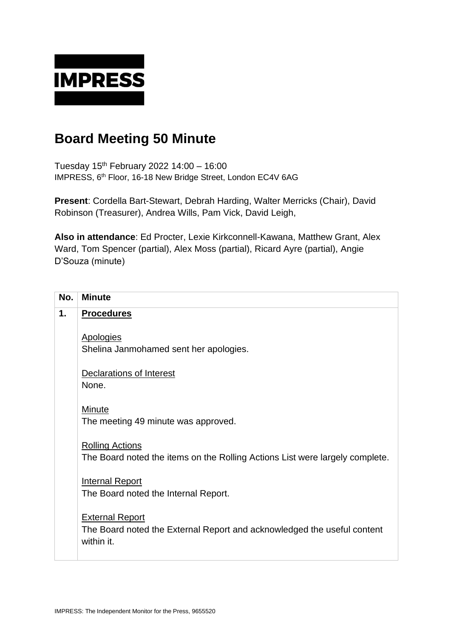

## **Board Meeting 50 Minute**

Tuesday 15 th February 2022 14:00 – 16:00 IMPRESS, 6<sup>th</sup> Floor, 16-18 New Bridge Street, London EC4V 6AG

**Present**: Cordella Bart-Stewart, Debrah Harding, Walter Merricks (Chair), David Robinson (Treasurer), Andrea Wills, Pam Vick, David Leigh,

**Also in attendance**: Ed Procter, Lexie Kirkconnell-Kawana, Matthew Grant, Alex Ward, Tom Spencer (partial), Alex Moss (partial), Ricard Ayre (partial), Angie D'Souza (minute)

| No. | <b>Minute</b>                                                                                                   |
|-----|-----------------------------------------------------------------------------------------------------------------|
| 1.  | <b>Procedures</b>                                                                                               |
|     | <b>Apologies</b><br>Shelina Janmohamed sent her apologies.                                                      |
|     | <b>Declarations of Interest</b><br>None.                                                                        |
|     | <b>Minute</b><br>The meeting 49 minute was approved.                                                            |
|     | <b>Rolling Actions</b><br>The Board noted the items on the Rolling Actions List were largely complete.          |
|     | <b>Internal Report</b><br>The Board noted the Internal Report.                                                  |
|     | <b>External Report</b><br>The Board noted the External Report and acknowledged the useful content<br>within it. |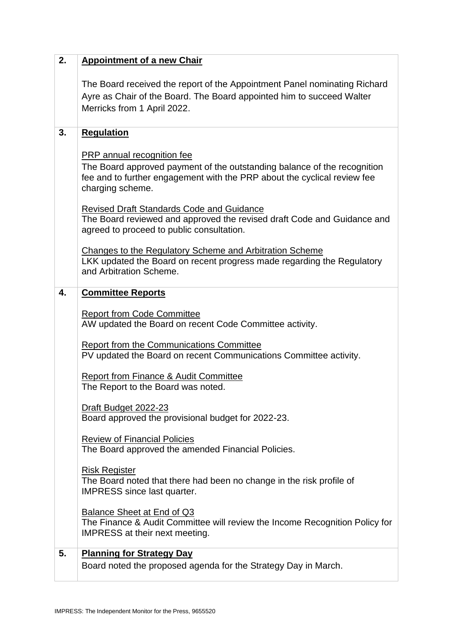| 2. | <b>Appointment of a new Chair</b>                                                                                                                                                                      |
|----|--------------------------------------------------------------------------------------------------------------------------------------------------------------------------------------------------------|
|    | The Board received the report of the Appointment Panel nominating Richard<br>Ayre as Chair of the Board. The Board appointed him to succeed Walter<br>Merricks from 1 April 2022.                      |
| 3. | <b>Regulation</b>                                                                                                                                                                                      |
|    | PRP annual recognition fee<br>The Board approved payment of the outstanding balance of the recognition<br>fee and to further engagement with the PRP about the cyclical review fee<br>charging scheme. |
|    | <b>Revised Draft Standards Code and Guidance</b><br>The Board reviewed and approved the revised draft Code and Guidance and<br>agreed to proceed to public consultation.                               |
|    | Changes to the Regulatory Scheme and Arbitration Scheme<br>LKK updated the Board on recent progress made regarding the Regulatory<br>and Arbitration Scheme.                                           |
| 4. | <b>Committee Reports</b>                                                                                                                                                                               |
|    | <b>Report from Code Committee</b><br>AW updated the Board on recent Code Committee activity.                                                                                                           |
|    | <b>Report from the Communications Committee</b><br>PV updated the Board on recent Communications Committee activity.                                                                                   |
|    | <b>Report from Finance &amp; Audit Committee</b><br>The Report to the Board was noted.                                                                                                                 |
|    | Draft Budget 2022-23<br>Board approved the provisional budget for 2022-23.                                                                                                                             |
|    | <b>Review of Financial Policies</b><br>The Board approved the amended Financial Policies.                                                                                                              |
|    | <b>Risk Register</b><br>The Board noted that there had been no change in the risk profile of<br><b>IMPRESS</b> since last quarter.                                                                     |
|    | Balance Sheet at End of Q3<br>The Finance & Audit Committee will review the Income Recognition Policy for<br><b>IMPRESS</b> at their next meeting.                                                     |
| 5. | <b>Planning for Strategy Day</b><br>Board noted the proposed agenda for the Strategy Day in March.                                                                                                     |